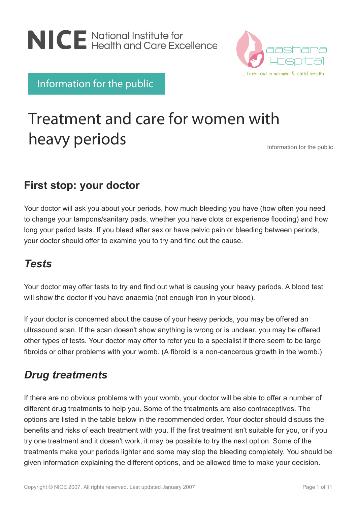



Information for the public

# Treatment and care for women with heavy periods

Information for the public

### **First stop: your doctor**

Your doctor will ask you about your periods, how much bleeding you have (how often you need to change your tampons/sanitary pads, whether you have clots or experience flooding) and how long your period lasts. If you bleed after sex or have pelvic pain or bleeding between periods, your doctor should offer to examine you to try and find out the cause.

### *Tests*

Your doctor may offer tests to try and find out what is causing your heavy periods. A blood test will show the doctor if you have anaemia (not enough iron in your blood).

If your doctor is concerned about the cause of your heavy periods, you may be offered an ultrasound scan. If the scan doesn't show anything is wrong or is unclear, you may be offered other types of tests. Your doctor may offer to refer you to a specialist if there seem to be large fibroids or other problems with your womb. (A fibroid is a non-cancerous growth in the womb.)

## *Drug treatments*

If there are no obvious problems with your womb, your doctor will be able to offer a number of different drug treatments to help you. Some of the treatments are also contraceptives. The options are listed in the table below in the recommended order. Your doctor should discuss the benefits and risks of each treatment with you. If the first treatment isn't suitable for you, or if you try one treatment and it doesn't work, it may be possible to try the next option. Some of the treatments make your periods lighter and some may stop the bleeding completely. You should be given information explaining the different options, and be allowed time to make your decision.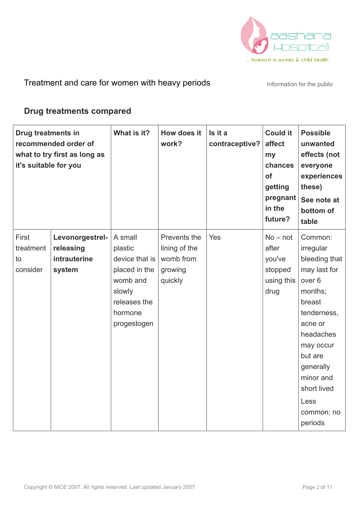

#### **Drug treatments compared**

| Drug treatments in<br>it's suitable for you | recommended order of<br>what to try first as long as | What is it?        | How does it<br>work?          | Is it a<br>contraceptive? | <b>Could it</b><br>affect<br>my<br>chances<br>of<br>getting<br>pregnant<br>in the<br>future? | <b>Possible</b><br>unwanted<br>effects (not<br>everyone<br>experiences<br>these)<br>See note at<br>bottom of<br>table |
|---------------------------------------------|------------------------------------------------------|--------------------|-------------------------------|---------------------------|----------------------------------------------------------------------------------------------|-----------------------------------------------------------------------------------------------------------------------|
| First<br>treatment                          | Levonorgestrel-<br>releasing                         | A small<br>plastic | Prevents the<br>lining of the | Yes                       | $No - not$<br>after                                                                          | Common:<br>irregular                                                                                                  |
| to                                          | intrauterine                                         | device that is     | womb from                     |                           | you've                                                                                       | bleeding that                                                                                                         |
| consider                                    | system                                               | placed in the      | growing                       |                           | stopped                                                                                      | may last for                                                                                                          |
|                                             |                                                      | womb and           | quickly                       |                           | using this                                                                                   | over <sub>6</sub>                                                                                                     |
|                                             |                                                      | slowly             |                               |                           | drug                                                                                         | months;                                                                                                               |
|                                             |                                                      | releases the       |                               |                           |                                                                                              | breast                                                                                                                |
|                                             |                                                      | hormone            |                               |                           |                                                                                              | tenderness,                                                                                                           |
|                                             |                                                      | progestogen        |                               |                           |                                                                                              | acne or                                                                                                               |
|                                             |                                                      |                    |                               |                           |                                                                                              | headaches                                                                                                             |
|                                             |                                                      |                    |                               |                           |                                                                                              | may occur                                                                                                             |
|                                             |                                                      |                    |                               |                           |                                                                                              | but are                                                                                                               |
|                                             |                                                      |                    |                               |                           |                                                                                              | generally                                                                                                             |
|                                             |                                                      |                    |                               |                           |                                                                                              | minor and                                                                                                             |
|                                             |                                                      |                    |                               |                           |                                                                                              | short lived                                                                                                           |
|                                             |                                                      |                    |                               |                           |                                                                                              | Less                                                                                                                  |
|                                             |                                                      |                    |                               |                           |                                                                                              | common: no                                                                                                            |
|                                             |                                                      |                    |                               |                           |                                                                                              | periods                                                                                                               |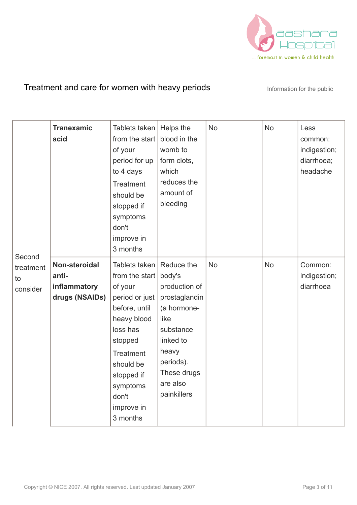

| Second                      | <b>Tranexamic</b><br>acid                                | Tablets taken<br>from the start<br>of your<br>period for up<br>to 4 days<br><b>Treatment</b><br>should be<br>stopped if<br>symptoms<br>don't<br>improve in<br>3 months                                                | Helps the<br>blood in the<br>womb to<br>form clots,<br>which<br>reduces the<br>amount of<br>bleeding                                                                    | <b>No</b> | <b>No</b> | Less<br>common:<br>indigestion;<br>diarrhoea;<br>headache |
|-----------------------------|----------------------------------------------------------|-----------------------------------------------------------------------------------------------------------------------------------------------------------------------------------------------------------------------|-------------------------------------------------------------------------------------------------------------------------------------------------------------------------|-----------|-----------|-----------------------------------------------------------|
| treatment<br>to<br>consider | Non-steroidal<br>anti-<br>inflammatory<br>drugs (NSAIDs) | Tablets taken<br>from the start $ $<br>of your<br>period or just<br>before, until<br>heavy blood<br>loss has<br>stopped<br><b>Treatment</b><br>should be<br>stopped if<br>symptoms<br>don't<br>improve in<br>3 months | Reduce the<br>body's<br>production of<br>prostaglandin<br>(a hormone-<br>like<br>substance<br>linked to<br>heavy<br>periods).<br>These drugs<br>are also<br>painkillers | <b>No</b> | <b>No</b> | Common:<br>indigestion;<br>diarrhoea                      |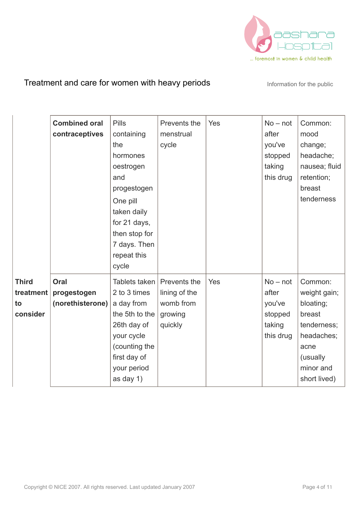

|                                   | <b>Combined oral</b><br>contraceptives  | <b>Pills</b><br>containing<br>the<br>hormones<br>oestrogen<br>and<br>progestogen<br>One pill<br>taken daily<br>for 21 days,<br>then stop for<br>7 days. Then | Prevents the<br>menstrual<br>cycle         | Yes | $No - not$<br>after<br>you've<br>stopped<br>taking<br>this drug | Common:<br>mood<br>change;<br>headache;<br>nausea; fluid<br>retention;<br>breast<br>tenderness |
|-----------------------------------|-----------------------------------------|--------------------------------------------------------------------------------------------------------------------------------------------------------------|--------------------------------------------|-----|-----------------------------------------------------------------|------------------------------------------------------------------------------------------------|
| <b>Third</b><br>treatment  <br>to | Oral<br>progestogen<br>(norethisterone) | repeat this<br>cycle<br>Tablets taken<br>2 to 3 times<br>a day from                                                                                          | Prevents the<br>lining of the<br>womb from | Yes | $No - not$<br>after<br>you've                                   | Common:<br>weight gain;<br>bloating;                                                           |
| consider                          |                                         | the 5th to the<br>26th day of<br>your cycle<br>(counting the<br>first day of<br>your period<br>as day 1)                                                     | growing<br>quickly                         |     | stopped<br>taking<br>this drug                                  | breast<br>tenderness;<br>headaches;<br>acne<br>(usually<br>minor and<br>short lived)           |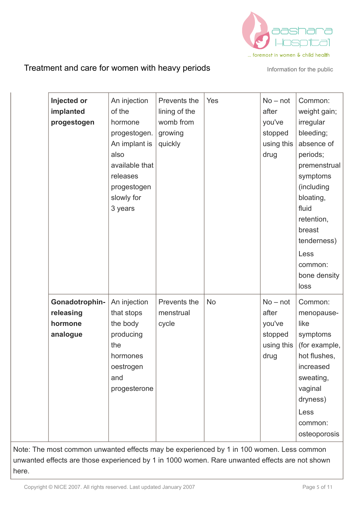

| Injected or<br>implanted<br>progestogen                                                  | An injection<br>of the<br>hormone<br>progestogen.<br>An implant is<br>also<br>available that<br>releases<br>progestogen<br>slowly for<br>3 years | Prevents the<br>lining of the<br>womb from<br>growing<br>quickly | Yes       | $No - not$<br>after<br>you've<br>stopped<br>using this<br>drug | Common:<br>weight gain;<br>irregular<br>bleeding;<br>absence of<br>periods;<br>premenstrual<br>symptoms<br>(including<br>bloating,<br>fluid<br>retention,<br>breast<br>tenderness)<br>Less<br>common:<br>bone density<br>loss |
|------------------------------------------------------------------------------------------|--------------------------------------------------------------------------------------------------------------------------------------------------|------------------------------------------------------------------|-----------|----------------------------------------------------------------|-------------------------------------------------------------------------------------------------------------------------------------------------------------------------------------------------------------------------------|
| Gonadotrophin-<br>releasing<br>hormone<br>analogue                                       | An injection<br>that stops<br>the body<br>producing<br>the<br>hormones<br>oestrogen<br>and<br>progesterone                                       | Prevents the<br>menstrual<br>cycle                               | <b>No</b> | $No - not$<br>after<br>you've<br>stopped<br>using this<br>drug | Common:<br>menopause-<br>like<br>symptoms<br>(for example,<br>hot flushes,<br>increased<br>sweating,<br>vaginal<br>dryness)<br>Less<br>common:<br>osteoporosis                                                                |
| Note: The most common unwanted effects may be experienced by 1 in 100 women. Less common |                                                                                                                                                  |                                                                  |           |                                                                |                                                                                                                                                                                                                               |

unwanted effects are those experienced by 1 in 1000 women. Rare unwanted effects are not shown here.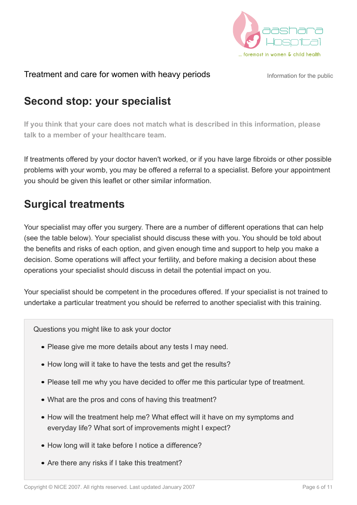

### **Second stop: your specialist**

**If you think that your care does not match what is described in this information, please talk to a member of your healthcare team.**

If treatments offered by your doctor haven't worked, or if you have large fibroids or other possible problems with your womb, you may be offered a referral to a specialist. Before your appointment you should be given this leaflet or other similar information.

### **Surgical treatments**

Your specialist may offer you surgery. There are a number of different operations that can help (see the table below). Your specialist should discuss these with you. You should be told about the benefits and risks of each option, and given enough time and support to help you make a decision. Some operations will affect your fertility, and before making a decision about these operations your specialist should discuss in detail the potential impact on you.

Your specialist should be competent in the procedures offered. If your specialist is not trained to undertake a particular treatment you should be referred to another specialist with this training.

Questions you might like to ask your doctor

- Please give me more details about any tests I may need.
- How long will it take to have the tests and get the results?
- Please tell me why you have decided to offer me this particular type of treatment.
- What are the pros and cons of having this treatment?
- How will the treatment help me? What effect will it have on my symptoms and everyday life? What sort of improvements might I expect?
- How long will it take before I notice a difference?
- Are there any risks if I take this treatment?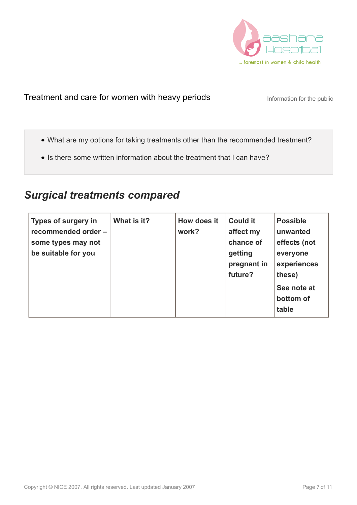

- What are my options for taking treatments other than the recommended treatment?
- Is there some written information about the treatment that I can have?

#### *Surgical treatments compared*

| <b>Types of surgery in</b><br>recommended order -<br>some types may not<br>be suitable for you | What is it? | How does it<br>work? | <b>Could it</b><br>affect my<br>chance of<br>getting<br>pregnant in<br>future? | <b>Possible</b><br>unwanted<br>effects (not<br>everyone<br>experiences<br>these)<br>See note at<br>bottom of<br>table |
|------------------------------------------------------------------------------------------------|-------------|----------------------|--------------------------------------------------------------------------------|-----------------------------------------------------------------------------------------------------------------------|
|------------------------------------------------------------------------------------------------|-------------|----------------------|--------------------------------------------------------------------------------|-----------------------------------------------------------------------------------------------------------------------|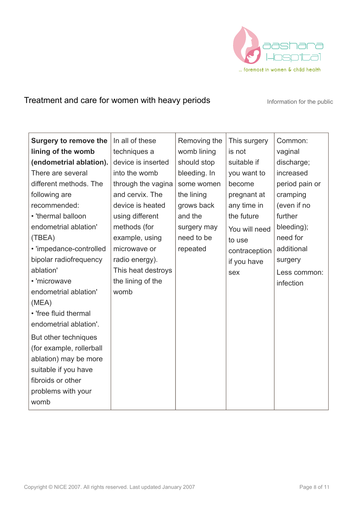

| <b>Surgery to remove the</b><br>lining of the womb | In all of these<br>techniques a | Removing the<br>womb lining | This surgery<br>is not | Common:<br>vaginal |
|----------------------------------------------------|---------------------------------|-----------------------------|------------------------|--------------------|
| (endometrial ablation).                            | device is inserted              | should stop                 | suitable if            | discharge;         |
| There are several                                  | into the womb                   | bleeding. In                | you want to            | increased          |
| different methods. The                             | through the vagina              | some women                  | become                 | period pain or     |
| following are                                      | and cervix. The                 | the lining                  | pregnant at            | cramping           |
| recommended:                                       | device is heated                | grows back                  | any time in            | (even if no        |
| • 'thermal balloon                                 | using different                 | and the                     | the future             | further            |
| endometrial ablation'                              | methods (for                    | surgery may                 | You will need          | bleeding);         |
| (TBEA)                                             | example, using                  | need to be                  | to use                 | need for           |
| • 'impedance-controlled                            | microwave or                    | repeated                    | contraception          | additional         |
| bipolar radiofrequency                             | radio energy).                  |                             | if you have            | surgery            |
| ablation'                                          | This heat destroys              |                             | sex                    | Less common:       |
| • 'microwave                                       | the lining of the               |                             |                        | infection          |
| endometrial ablation'                              | womb                            |                             |                        |                    |
| (MEA)                                              |                                 |                             |                        |                    |
| • 'free fluid thermal                              |                                 |                             |                        |                    |
| endometrial ablation'.                             |                                 |                             |                        |                    |
| But other techniques                               |                                 |                             |                        |                    |
| (for example, rollerball                           |                                 |                             |                        |                    |
| ablation) may be more                              |                                 |                             |                        |                    |
| suitable if you have                               |                                 |                             |                        |                    |
| fibroids or other                                  |                                 |                             |                        |                    |
| problems with your                                 |                                 |                             |                        |                    |
| womb                                               |                                 |                             |                        |                    |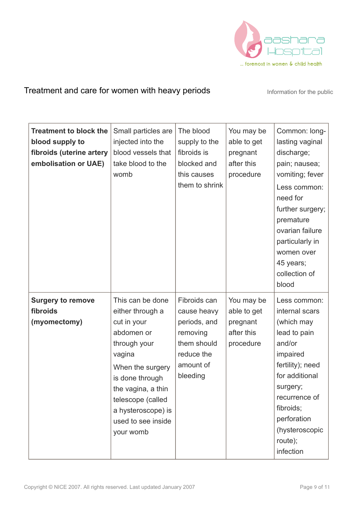

| <b>Treatment to block the</b><br>blood supply to<br>fibroids (uterine artery<br>embolisation or UAE) | Small particles are<br>injected into the<br>blood vessels that<br>take blood to the<br>womb                                                                                                                                            | The blood<br>supply to the<br>fibroids is<br>blocked and<br>this causes<br>them to shrink                     | You may be<br>able to get<br>pregnant<br>after this<br>procedure | Common: long-<br>lasting vaginal<br>discharge;<br>pain; nausea;<br>vomiting; fever<br>Less common:<br>need for<br>further surgery;<br>premature<br>ovarian failure<br>particularly in<br>women over<br>45 years;<br>collection of<br>blood |
|------------------------------------------------------------------------------------------------------|----------------------------------------------------------------------------------------------------------------------------------------------------------------------------------------------------------------------------------------|---------------------------------------------------------------------------------------------------------------|------------------------------------------------------------------|--------------------------------------------------------------------------------------------------------------------------------------------------------------------------------------------------------------------------------------------|
| <b>Surgery to remove</b><br>fibroids<br>(myomectomy)                                                 | This can be done<br>either through a<br>cut in your<br>abdomen or<br>through your<br>vagina<br>When the surgery<br>is done through<br>the vagina, a thin<br>telescope (called<br>a hysteroscope) is<br>used to see inside<br>your womb | Fibroids can<br>cause heavy<br>periods, and<br>removing<br>them should<br>reduce the<br>amount of<br>bleeding | You may be<br>able to get<br>pregnant<br>after this<br>procedure | Less common:<br>internal scars<br>(which may<br>lead to pain<br>and/or<br>impaired<br>fertility); need<br>for additional<br>surgery;<br>recurrence of<br>fibroids;<br>perforation<br>(hysteroscopic<br>route);<br>infection                |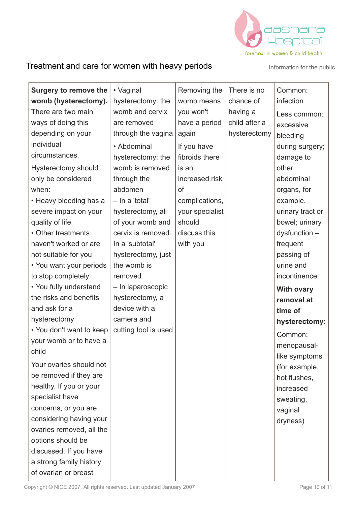

| <b>Surgery to remove the</b><br>womb (hysterectomy).<br>There are two main<br>ways of doing this<br>depending on your<br>individual<br>circumstances.<br><b>Hysterectomy should</b><br>only be considered<br>when:<br>• Heavy bleeding has a<br>severe impact on your<br>quality of life<br>• Other treatments<br>haven't worked or are<br>not suitable for you<br>• You want your periods<br>to stop completely<br>• You fully understand<br>the risks and benefits<br>and ask for a<br>hysterectomy<br>• You don't want to keep<br>your womb or to have a<br>child<br>Your ovaries should not<br>be removed if they are<br>healthy. If you or your<br>specialist have | • Vaginal<br>hysterectomy: the<br>womb and cervix<br>are removed<br>through the vagina<br>• Abdominal<br>hysterectomy: the<br>womb is removed<br>through the<br>abdomen<br>- In a 'total'<br>hysterectomy, all<br>of your womb and<br>cervix is removed.<br>In a 'subtotal'<br>hysterectomy, just<br>the womb is<br>removed<br>- In laparoscopic<br>hysterectomy, a<br>device with a<br>camera and<br>cutting tool is used | Removing the<br>womb means<br>you won't<br>have a period<br>again<br>If you have<br>fibroids there<br>is an<br>increased risk<br><sub>of</sub><br>complications,<br>your specialist<br>should<br>discuss this<br>with you | There is no<br>chance of<br>having a<br>child after a<br>hysterectomy | Common:<br>infection<br>Less common:<br>excessive<br>bleeding<br>during surgery;<br>damage to<br>other<br>abdominal<br>organs, for<br>example,<br>urinary tract or<br>bowel; urinary<br>$dy$ sfunction $-$<br>frequent<br>passing of<br>urine and<br>incontinence<br><b>With ovary</b><br>removal at<br>time of<br>hysterectomy:<br>Common:<br>menopausal-<br>like symptoms<br>(for example,<br>hot flushes,<br>increased<br>sweating, |
|-------------------------------------------------------------------------------------------------------------------------------------------------------------------------------------------------------------------------------------------------------------------------------------------------------------------------------------------------------------------------------------------------------------------------------------------------------------------------------------------------------------------------------------------------------------------------------------------------------------------------------------------------------------------------|----------------------------------------------------------------------------------------------------------------------------------------------------------------------------------------------------------------------------------------------------------------------------------------------------------------------------------------------------------------------------------------------------------------------------|---------------------------------------------------------------------------------------------------------------------------------------------------------------------------------------------------------------------------|-----------------------------------------------------------------------|----------------------------------------------------------------------------------------------------------------------------------------------------------------------------------------------------------------------------------------------------------------------------------------------------------------------------------------------------------------------------------------------------------------------------------------|
| concerns, or you are<br>considering having your<br>ovaries removed, all the<br>options should be<br>discussed. If you have<br>a strong family history<br>of ovarian or breast                                                                                                                                                                                                                                                                                                                                                                                                                                                                                           |                                                                                                                                                                                                                                                                                                                                                                                                                            |                                                                                                                                                                                                                           |                                                                       | vaginal<br>dryness)                                                                                                                                                                                                                                                                                                                                                                                                                    |